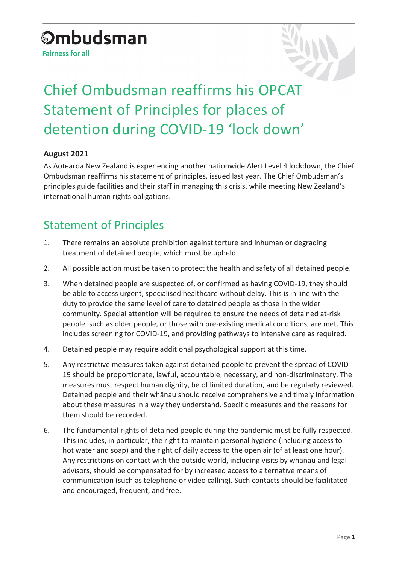# **Ombudsman**

**Fairness for all** 



## Chief Ombudsman reaffirms his OPCAT Statement of Principles for places of detention during COVID-19 'lock down'

#### **August 2021**

As Aotearoa New Zealand is experiencing another nationwide Alert Level 4 lockdown, the Chief Ombudsman reaffirms his statement of principles, issued last year. The Chief Ombudsman's principles guide facilities and their staff in managing this crisis, while meeting New Zealand's international human rights obligations.

### Statement of Principles

- 1. There remains an absolute prohibition against torture and inhuman or degrading treatment of detained people, which must be upheld.
- 2. All possible action must be taken to protect the health and safety of all detained people.
- 3. When detained people are suspected of, or confirmed as having COVID-19, they should be able to access urgent, specialised healthcare without delay. This is in line with the duty to provide the same level of care to detained people as those in the wider community. Special attention will be required to ensure the needs of detained at-risk people, such as older people, or those with pre-existing medical conditions, are met. This includes screening for COVID-19, and providing pathways to intensive care as required.
- 4. Detained people may require additional psychological support at this time.
- 5. Any restrictive measures taken against detained people to prevent the spread of COVID-19 should be proportionate, lawful, accountable, necessary, and non-discriminatory. The measures must respect human dignity, be of limited duration, and be regularly reviewed. Detained people and their whānau should receive comprehensive and timely information about these measures in a way they understand. Specific measures and the reasons for them should be recorded.
- 6. The fundamental rights of detained people during the pandemic must be fully respected. This includes, in particular, the right to maintain personal hygiene (including access to hot water and soap) and the right of daily access to the open air (of at least one hour). Any restrictions on contact with the outside world, including visits by whānau and legal advisors, should be compensated for by increased access to alternative means of communication (such as telephone or video calling). Such contacts should be facilitated and encouraged, frequent, and free.